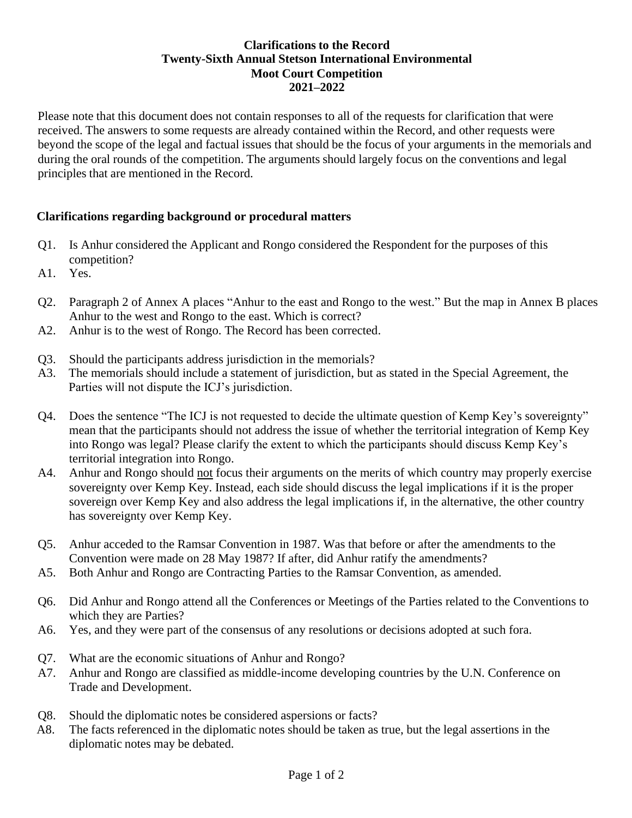## **Clarifications to the Record Twenty-Sixth Annual Stetson International Environmental Moot Court Competition 2021–2022**

Please note that this document does not contain responses to all of the requests for clarification that were received. The answers to some requests are already contained within the Record, and other requests were beyond the scope of the legal and factual issues that should be the focus of your arguments in the memorials and during the oral rounds of the competition. The arguments should largely focus on the conventions and legal principles that are mentioned in the Record.

## **Clarifications regarding background or procedural matters**

- Q1. Is Anhur considered the Applicant and Rongo considered the Respondent for the purposes of this competition?
- A1. Yes.
- Q2. Paragraph 2 of Annex A places "Anhur to the east and Rongo to the west." But the map in Annex B places Anhur to the west and Rongo to the east. Which is correct?
- A2. Anhur is to the west of Rongo. The Record has been corrected.
- Q3. Should the participants address jurisdiction in the memorials?
- A3. The memorials should include a statement of jurisdiction, but as stated in the Special Agreement, the Parties will not dispute the ICJ's jurisdiction.
- Q4. Does the sentence "The ICJ is not requested to decide the ultimate question of Kemp Key's sovereignty" mean that the participants should not address the issue of whether the territorial integration of Kemp Key into Rongo was legal? Please clarify the extent to which the participants should discuss Kemp Key's territorial integration into Rongo.
- A4. Anhur and Rongo should not focus their arguments on the merits of which country may properly exercise sovereignty over Kemp Key. Instead, each side should discuss the legal implications if it is the proper sovereign over Kemp Key and also address the legal implications if, in the alternative, the other country has sovereignty over Kemp Key.
- Q5. Anhur acceded to the Ramsar Convention in 1987. Was that before or after the amendments to the Convention were made on 28 May 1987? If after, did Anhur ratify the amendments?
- A5. Both Anhur and Rongo are Contracting Parties to the Ramsar Convention, as amended.
- Q6. Did Anhur and Rongo attend all the Conferences or Meetings of the Parties related to the Conventions to which they are Parties?
- A6. Yes, and they were part of the consensus of any resolutions or decisions adopted at such fora.
- Q7. What are the economic situations of Anhur and Rongo?
- A7. Anhur and Rongo are classified as middle-income developing countries by the U.N. Conference on Trade and Development.
- Q8. Should the diplomatic notes be considered aspersions or facts?
- A8. The facts referenced in the diplomatic notes should be taken as true, but the legal assertions in the diplomatic notes may be debated.